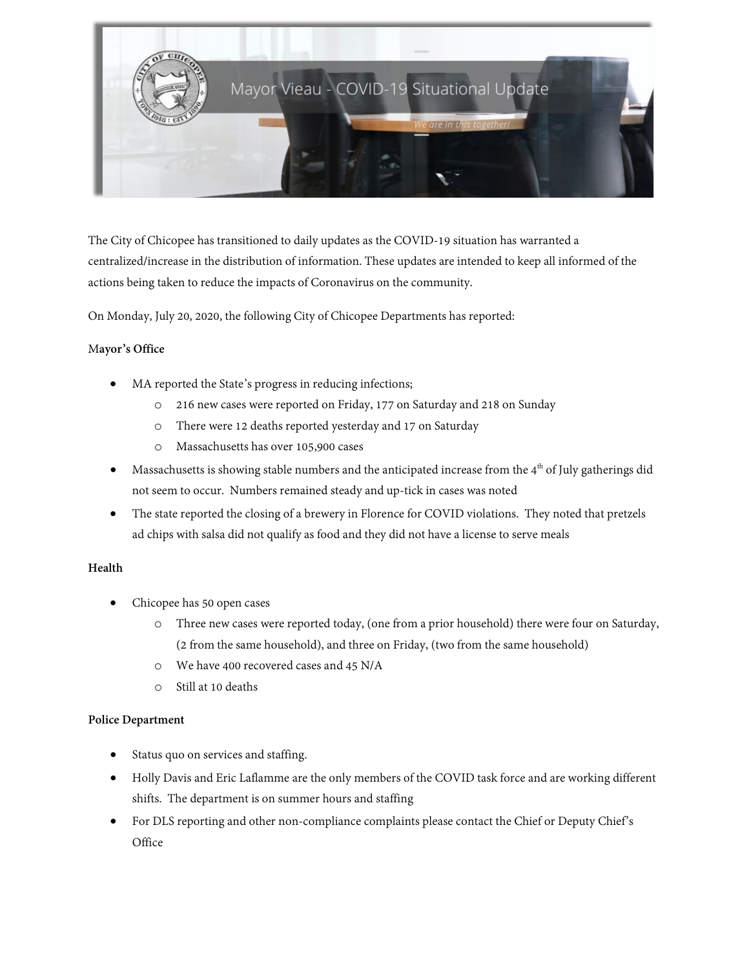

The City of Chicopee has transitioned to daily updates as the COVID-19 situation has warranted a centralized/increase in the distribution of information. These updates are intended to keep all informed of the actions being taken to reduce the impacts of Coronavirus on the community.

On Monday, July 20, 2020, the following City of Chicopee Departments has reported:

## M**ayor's Office**

- MA reported the State's progress in reducing infections;
	- o 216 new cases were reported on Friday, 177 on Saturday and 218 on Sunday
	- o There were 12 deaths reported yesterday and 17 on Saturday
	- o Massachusetts has over 105,900 cases
- Massachusetts is showing stable numbers and the anticipated increase from the  $4<sup>th</sup>$  of July gatherings did not seem to occur. Numbers remained steady and up-tick in cases was noted
- The state reported the closing of a brewery in Florence for COVID violations. They noted that pretzels ad chips with salsa did not qualify as food and they did not have a license to serve meals

### **Health**

- Chicopee has 50 open cases
	- o Three new cases were reported today, (one from a prior household) there were four on Saturday, (2 from the same household), and three on Friday, (two from the same household)
	- o We have 400 recovered cases and 45 N/A
	- o Still at 10 deaths

### **Police Department**

- Status quo on services and staffing.
- Holly Davis and Eric Laflamme are the only members of the COVID task force and are working different shifts. The department is on summer hours and staffing
- For DLS reporting and other non-compliance complaints please contact the Chief or Deputy Chief's **Office**